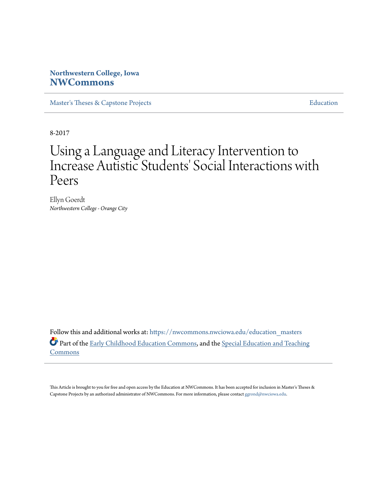## **Northwestern College, Iowa [NWCommons](https://nwcommons.nwciowa.edu?utm_source=nwcommons.nwciowa.edu%2Feducation_masters%2F51&utm_medium=PDF&utm_campaign=PDFCoverPages)**

[Master's Theses & Capstone Projects](https://nwcommons.nwciowa.edu/education_masters?utm_source=nwcommons.nwciowa.edu%2Feducation_masters%2F51&utm_medium=PDF&utm_campaign=PDFCoverPages) **[Education](https://nwcommons.nwciowa.edu/education?utm_source=nwcommons.nwciowa.edu%2Feducation_masters%2F51&utm_medium=PDF&utm_campaign=PDFCoverPages)** 

8-2017

# Using a Language and Literacy Intervention to Increase Autistic Students' Social Interactions with Peers

Ellyn Goerdt *Northwestern College - Orange City*

Follow this and additional works at: [https://nwcommons.nwciowa.edu/education\\_masters](https://nwcommons.nwciowa.edu/education_masters?utm_source=nwcommons.nwciowa.edu%2Feducation_masters%2F51&utm_medium=PDF&utm_campaign=PDFCoverPages) Part of the [Early Childhood Education Commons,](http://network.bepress.com/hgg/discipline/1377?utm_source=nwcommons.nwciowa.edu%2Feducation_masters%2F51&utm_medium=PDF&utm_campaign=PDFCoverPages) and the [Special Education and Teaching](http://network.bepress.com/hgg/discipline/801?utm_source=nwcommons.nwciowa.edu%2Feducation_masters%2F51&utm_medium=PDF&utm_campaign=PDFCoverPages) [Commons](http://network.bepress.com/hgg/discipline/801?utm_source=nwcommons.nwciowa.edu%2Feducation_masters%2F51&utm_medium=PDF&utm_campaign=PDFCoverPages)

This Article is brought to you for free and open access by the Education at NWCommons. It has been accepted for inclusion in Master's Theses & Capstone Projects by an authorized administrator of NWCommons. For more information, please contact [ggrond@nwciowa.edu.](mailto:ggrond@nwciowa.edu)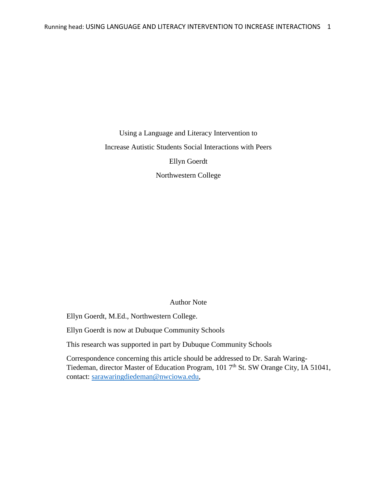Using a Language and Literacy Intervention to Increase Autistic Students Social Interactions with Peers Ellyn Goerdt Northwestern College

## Author Note

Ellyn Goerdt, M.Ed., Northwestern College.

Ellyn Goerdt is now at Dubuque Community Schools

This research was supported in part by Dubuque Community Schools

Correspondence concerning this article should be addressed to Dr. Sarah Waring-Tiedeman, director Master of Education Program, 101  $7<sup>th</sup>$  St. SW Orange City, IA 51041, contact: [sarawaringdiedeman@nwciowa.edu,](mailto:sarawaringdiedeman@nwciowa.edu)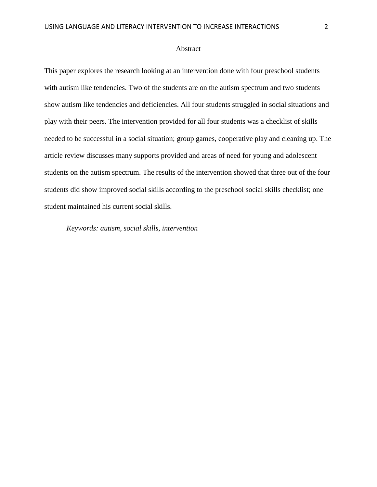#### Abstract

This paper explores the research looking at an intervention done with four preschool students with autism like tendencies. Two of the students are on the autism spectrum and two students show autism like tendencies and deficiencies. All four students struggled in social situations and play with their peers. The intervention provided for all four students was a checklist of skills needed to be successful in a social situation; group games, cooperative play and cleaning up. The article review discusses many supports provided and areas of need for young and adolescent students on the autism spectrum. The results of the intervention showed that three out of the four students did show improved social skills according to the preschool social skills checklist; one student maintained his current social skills.

*Keywords: autism, social skills, intervention*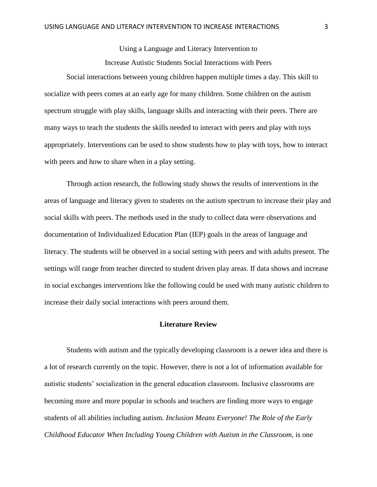Using a Language and Literacy Intervention to Increase Autistic Students Social Interactions with Peers

Social interactions between young children happen multiple times a day. This skill to socialize with peers comes at an early age for many children. Some children on the autism spectrum struggle with play skills, language skills and interacting with their peers. There are many ways to teach the students the skills needed to interact with peers and play with toys appropriately. Interventions can be used to show students how to play with toys, how to interact with peers and how to share when in a play setting.

Through action research, the following study shows the results of interventions in the areas of language and literacy given to students on the autism spectrum to increase their play and social skills with peers. The methods used in the study to collect data were observations and documentation of Individualized Education Plan (IEP) goals in the areas of language and literacy. The students will be observed in a social setting with peers and with adults present. The settings will range from teacher directed to student driven play areas. If data shows and increase in social exchanges interventions like the following could be used with many autistic children to increase their daily social interactions with peers around them.

### **Literature Review**

Students with autism and the typically developing classroom is a newer idea and there is a lot of research currently on the topic. However, there is not a lot of information available for autistic students' socialization in the general education classroom. Inclusive classrooms are becoming more and more popular in schools and teachers are finding more ways to engage students of all abilities including autism. *Inclusion Means Everyone! The Role of the Early Childhood Educator When Including Young Children with Autism in the Classroom,* is one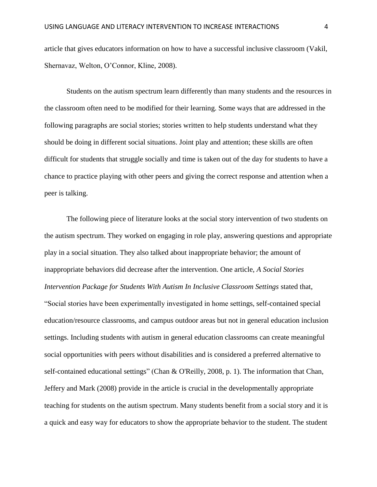article that gives educators information on how to have a successful inclusive classroom (Vakil, Shernavaz, Welton, O'Connor, Kline, 2008).

Students on the autism spectrum learn differently than many students and the resources in the classroom often need to be modified for their learning. Some ways that are addressed in the following paragraphs are social stories; stories written to help students understand what they should be doing in different social situations. Joint play and attention; these skills are often difficult for students that struggle socially and time is taken out of the day for students to have a chance to practice playing with other peers and giving the correct response and attention when a peer is talking.

The following piece of literature looks at the social story intervention of two students on the autism spectrum. They worked on engaging in role play, answering questions and appropriate play in a social situation. They also talked about inappropriate behavior; the amount of inappropriate behaviors did decrease after the intervention. One article, *A Social Stories Intervention Package for Students With Autism In Inclusive Classroom Settings* stated that, "Social stories have been experimentally investigated in home settings, self-contained special education/resource classrooms, and campus outdoor areas but not in general education inclusion settings. Including students with autism in general education classrooms can create meaningful social opportunities with peers without disabilities and is considered a preferred alternative to self-contained educational settings" (Chan & O'Reilly, 2008, p. 1). The information that Chan, Jeffery and Mark (2008) provide in the article is crucial in the developmentally appropriate teaching for students on the autism spectrum. Many students benefit from a social story and it is a quick and easy way for educators to show the appropriate behavior to the student. The student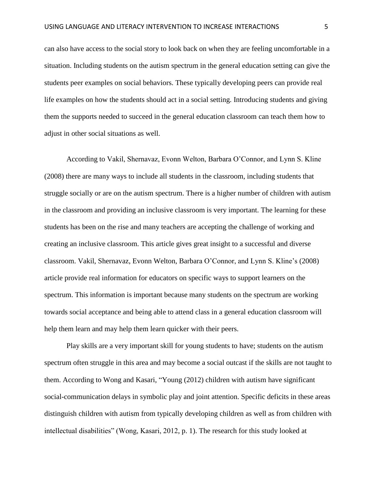can also have access to the social story to look back on when they are feeling uncomfortable in a situation. Including students on the autism spectrum in the general education setting can give the students peer examples on social behaviors. These typically developing peers can provide real life examples on how the students should act in a social setting. Introducing students and giving them the supports needed to succeed in the general education classroom can teach them how to adjust in other social situations as well.

According to Vakil, Shernavaz, Evonn Welton, Barbara O'Connor, and Lynn S. Kline (2008) there are many ways to include all students in the classroom, including students that struggle socially or are on the autism spectrum. There is a higher number of children with autism in the classroom and providing an inclusive classroom is very important. The learning for these students has been on the rise and many teachers are accepting the challenge of working and creating an inclusive classroom. This article gives great insight to a successful and diverse classroom. Vakil, Shernavaz, Evonn Welton, Barbara O'Connor, and Lynn S. Kline's (2008) article provide real information for educators on specific ways to support learners on the spectrum. This information is important because many students on the spectrum are working towards social acceptance and being able to attend class in a general education classroom will help them learn and may help them learn quicker with their peers.

Play skills are a very important skill for young students to have; students on the autism spectrum often struggle in this area and may become a social outcast if the skills are not taught to them. According to Wong and Kasari, "Young (2012) children with autism have significant social-communication delays in symbolic play and joint attention. Specific deficits in these areas distinguish children with autism from typically developing children as well as from children with intellectual disabilities" (Wong, Kasari, 2012, p. 1). The research for this study looked at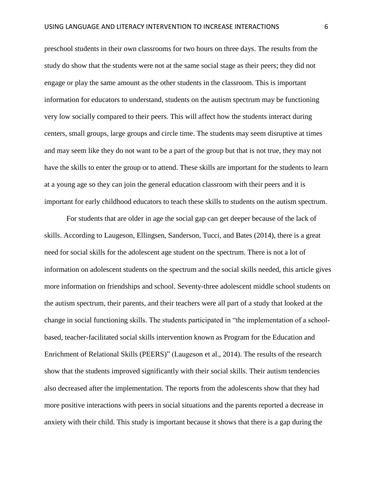preschool students in their own classrooms for two hours on three days. The results from the study do show that the students were not at the same social stage as their peers; they did not engage or play the same amount as the other students in the classroom. This is important information for educators to understand, students on the autism spectrum may be functioning very low socially compared to their peers. This will affect how the students interact during centers, small groups, large groups and circle time. The students may seem disruptive at times and may seem like they do not want to be a part of the group but that is not true, they may not have the skills to enter the group or to attend. These skills are important for the students to learn at a young age so they can join the general education classroom with their peers and it is important for early childhood educators to teach these skills to students on the autism spectrum.

For students that are older in age the social gap can get deeper because of the lack of skills. According to Laugeson, Ellingsen, Sanderson, Tucci, and Bates (2014), there is a great need for social skills for the adolescent age student on the spectrum. There is not a lot of information on adolescent students on the spectrum and the social skills needed, this article gives more information on friendships and school. Seventy-three adolescent middle school students on the autism spectrum, their parents, and their teachers were all part of a study that looked at the change in social functioning skills. The students participated in "the implementation of a schoolbased, teacher-facilitated social skills intervention known as Program for the Education and Enrichment of Relational Skills (PEERS)" (Laugeson et al., 2014). The results of the research show that the students improved significantly with their social skills. Their autism tendencies also decreased after the implementation. The reports from the adolescents show that they had more positive interactions with peers in social situations and the parents reported a decrease in anxiety with their child. This study is important because it shows that there is a gap during the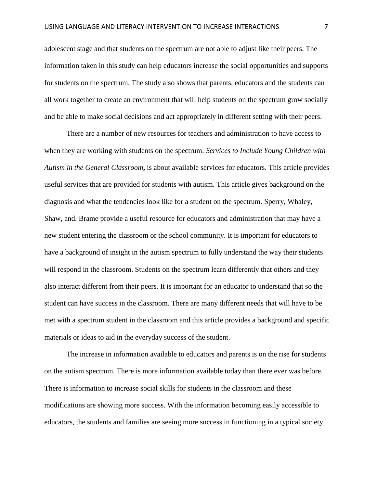adolescent stage and that students on the spectrum are not able to adjust like their peers. The information taken in this study can help educators increase the social opportunities and supports for students on the spectrum. The study also shows that parents, educators and the students can all work together to create an environment that will help students on the spectrum grow socially and be able to make social decisions and act appropriately in different setting with their peers.

There are a number of new resources for teachers and administration to have access to when they are working with students on the spectrum. *Services to Include Young Children with Autism in the General Classroom***,** is about available services for educators. This article provides useful services that are provided for students with autism. This article gives background on the diagnosis and what the tendencies look like for a student on the spectrum. Sperry, Whaley, Shaw, and. Brame provide a useful resource for educators and administration that may have a new student entering the classroom or the school community. It is important for educators to have a background of insight in the autism spectrum to fully understand the way their students will respond in the classroom. Students on the spectrum learn differently that others and they also interact different from their peers. It is important for an educator to understand that so the student can have success in the classroom. There are many different needs that will have to be met with a spectrum student in the classroom and this article provides a background and specific materials or ideas to aid in the everyday success of the student.

The increase in information available to educators and parents is on the rise for students on the autism spectrum. There is more information available today than there ever was before. There is information to increase social skills for students in the classroom and these modifications are showing more success. With the information becoming easily accessible to educators, the students and families are seeing more success in functioning in a typical society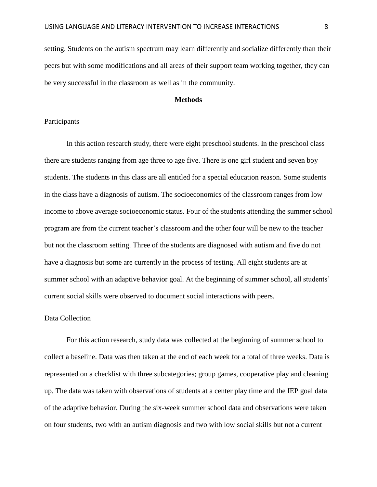setting. Students on the autism spectrum may learn differently and socialize differently than their peers but with some modifications and all areas of their support team working together, they can be very successful in the classroom as well as in the community.

#### **Methods**

#### Participants

In this action research study, there were eight preschool students. In the preschool class there are students ranging from age three to age five. There is one girl student and seven boy students. The students in this class are all entitled for a special education reason. Some students in the class have a diagnosis of autism. The socioeconomics of the classroom ranges from low income to above average socioeconomic status. Four of the students attending the summer school program are from the current teacher's classroom and the other four will be new to the teacher but not the classroom setting. Three of the students are diagnosed with autism and five do not have a diagnosis but some are currently in the process of testing. All eight students are at summer school with an adaptive behavior goal. At the beginning of summer school, all students' current social skills were observed to document social interactions with peers.

#### Data Collection

For this action research, study data was collected at the beginning of summer school to collect a baseline. Data was then taken at the end of each week for a total of three weeks. Data is represented on a checklist with three subcategories; group games, cooperative play and cleaning up. The data was taken with observations of students at a center play time and the IEP goal data of the adaptive behavior. During the six-week summer school data and observations were taken on four students, two with an autism diagnosis and two with low social skills but not a current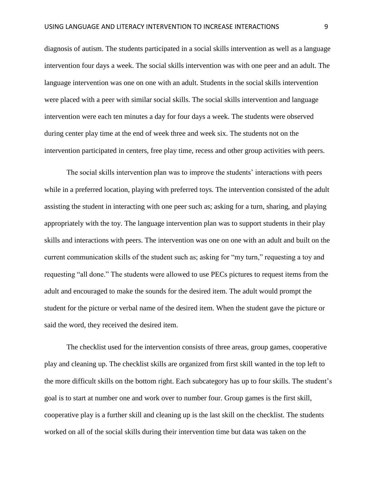diagnosis of autism. The students participated in a social skills intervention as well as a language intervention four days a week. The social skills intervention was with one peer and an adult. The language intervention was one on one with an adult. Students in the social skills intervention were placed with a peer with similar social skills. The social skills intervention and language intervention were each ten minutes a day for four days a week. The students were observed during center play time at the end of week three and week six. The students not on the intervention participated in centers, free play time, recess and other group activities with peers.

The social skills intervention plan was to improve the students' interactions with peers while in a preferred location, playing with preferred toys. The intervention consisted of the adult assisting the student in interacting with one peer such as; asking for a turn, sharing, and playing appropriately with the toy. The language intervention plan was to support students in their play skills and interactions with peers. The intervention was one on one with an adult and built on the current communication skills of the student such as; asking for "my turn," requesting a toy and requesting "all done." The students were allowed to use PECs pictures to request items from the adult and encouraged to make the sounds for the desired item. The adult would prompt the student for the picture or verbal name of the desired item. When the student gave the picture or said the word, they received the desired item.

The checklist used for the intervention consists of three areas, group games, cooperative play and cleaning up. The checklist skills are organized from first skill wanted in the top left to the more difficult skills on the bottom right. Each subcategory has up to four skills. The student's goal is to start at number one and work over to number four. Group games is the first skill, cooperative play is a further skill and cleaning up is the last skill on the checklist. The students worked on all of the social skills during their intervention time but data was taken on the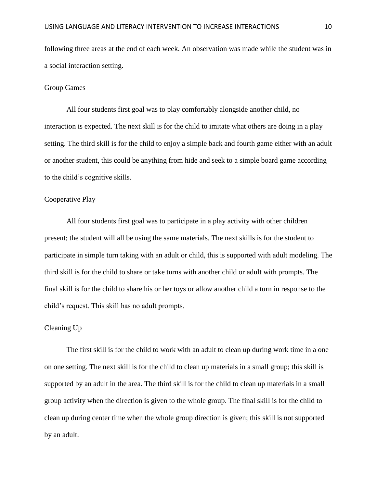following three areas at the end of each week. An observation was made while the student was in a social interaction setting.

#### Group Games

All four students first goal was to play comfortably alongside another child, no interaction is expected. The next skill is for the child to imitate what others are doing in a play setting. The third skill is for the child to enjoy a simple back and fourth game either with an adult or another student, this could be anything from hide and seek to a simple board game according to the child's cognitive skills.

#### Cooperative Play

All four students first goal was to participate in a play activity with other children present; the student will all be using the same materials. The next skills is for the student to participate in simple turn taking with an adult or child, this is supported with adult modeling. The third skill is for the child to share or take turns with another child or adult with prompts. The final skill is for the child to share his or her toys or allow another child a turn in response to the child's request. This skill has no adult prompts.

## Cleaning Up

The first skill is for the child to work with an adult to clean up during work time in a one on one setting. The next skill is for the child to clean up materials in a small group; this skill is supported by an adult in the area. The third skill is for the child to clean up materials in a small group activity when the direction is given to the whole group. The final skill is for the child to clean up during center time when the whole group direction is given; this skill is not supported by an adult.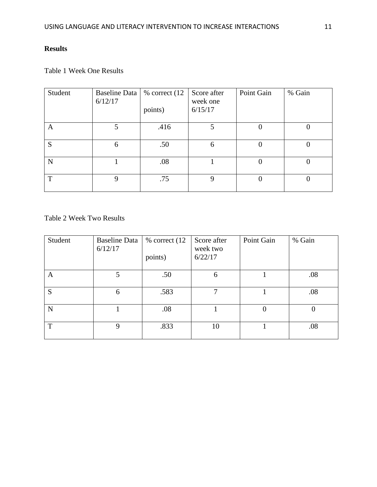# **Results**

# Table 1 Week One Results

| Student | Baseline Data   % correct (12)<br>6/12/17 | points) | Score after<br>week one<br>6/15/17 | Point Gain | % Gain       |
|---------|-------------------------------------------|---------|------------------------------------|------------|--------------|
| A       |                                           | .416    |                                    |            |              |
| S       | 6                                         | .50     | 6                                  | 0          |              |
| N       |                                           | .08     |                                    | 0          | $\mathbf{U}$ |
| T       | 9                                         | .75     | 9                                  | $\Omega$   | $\mathbf{U}$ |

Table 2 Week Two Results

| Student | <b>Baseline Data</b><br>6/12/17 | $%$ correct $(12)$<br>points) | Score after<br>week two<br>6/22/17 | Point Gain | % Gain |
|---------|---------------------------------|-------------------------------|------------------------------------|------------|--------|
| A       | 5                               | .50                           | 6                                  |            | .08    |
| S       | 6                               | .583                          | 7                                  |            | .08    |
| N       |                                 | .08                           |                                    | $\theta$   |        |
| T       | 9                               | .833                          | 10                                 |            | .08    |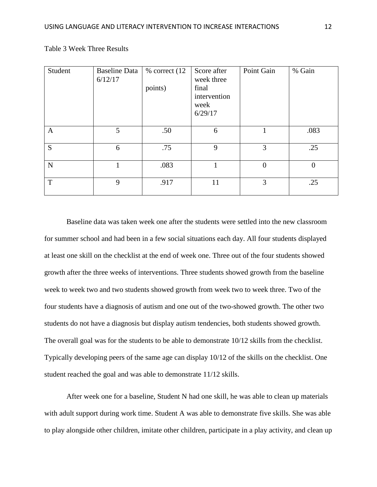| Student      | <b>Baseline Data</b><br>6/12/17 | $%$ correct $(12)$<br>points) | Score after<br>week three<br>final<br>intervention<br>week<br>6/29/17 | Point Gain     | % Gain         |
|--------------|---------------------------------|-------------------------------|-----------------------------------------------------------------------|----------------|----------------|
| $\mathbf{A}$ | 5                               | .50                           | 6                                                                     |                | .083           |
| S            | 6                               | .75                           | 9                                                                     | 3              | .25            |
| ${\bf N}$    |                                 | .083                          |                                                                       | $\overline{0}$ | $\overline{0}$ |
| T            | 9                               | .917                          | 11                                                                    | 3              | .25            |

Table 3 Week Three Results

Baseline data was taken week one after the students were settled into the new classroom for summer school and had been in a few social situations each day. All four students displayed at least one skill on the checklist at the end of week one. Three out of the four students showed growth after the three weeks of interventions. Three students showed growth from the baseline week to week two and two students showed growth from week two to week three. Two of the four students have a diagnosis of autism and one out of the two-showed growth. The other two students do not have a diagnosis but display autism tendencies, both students showed growth. The overall goal was for the students to be able to demonstrate 10/12 skills from the checklist. Typically developing peers of the same age can display 10/12 of the skills on the checklist. One student reached the goal and was able to demonstrate 11/12 skills.

After week one for a baseline, Student N had one skill, he was able to clean up materials with adult support during work time. Student A was able to demonstrate five skills. She was able to play alongside other children, imitate other children, participate in a play activity, and clean up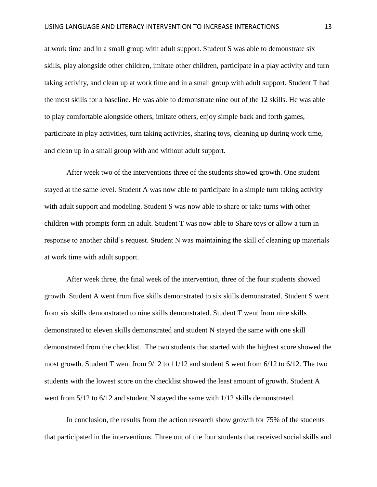at work time and in a small group with adult support. Student S was able to demonstrate six skills, play alongside other children, imitate other children, participate in a play activity and turn taking activity, and clean up at work time and in a small group with adult support. Student T had the most skills for a baseline. He was able to demonstrate nine out of the 12 skills. He was able to play comfortable alongside others, imitate others, enjoy simple back and forth games, participate in play activities, turn taking activities, sharing toys, cleaning up during work time, and clean up in a small group with and without adult support.

After week two of the interventions three of the students showed growth. One student stayed at the same level. Student A was now able to participate in a simple turn taking activity with adult support and modeling. Student S was now able to share or take turns with other children with prompts form an adult. Student T was now able to Share toys or allow a turn in response to another child's request. Student N was maintaining the skill of cleaning up materials at work time with adult support.

After week three, the final week of the intervention, three of the four students showed growth. Student A went from five skills demonstrated to six skills demonstrated. Student S went from six skills demonstrated to nine skills demonstrated. Student T went from nine skills demonstrated to eleven skills demonstrated and student N stayed the same with one skill demonstrated from the checklist. The two students that started with the highest score showed the most growth. Student T went from 9/12 to 11/12 and student S went from 6/12 to 6/12. The two students with the lowest score on the checklist showed the least amount of growth. Student A went from 5/12 to 6/12 and student N stayed the same with 1/12 skills demonstrated.

In conclusion, the results from the action research show growth for 75% of the students that participated in the interventions. Three out of the four students that received social skills and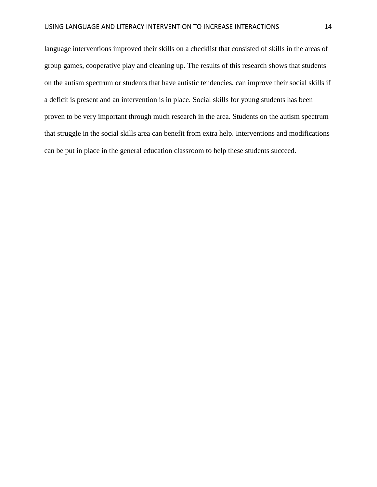language interventions improved their skills on a checklist that consisted of skills in the areas of group games, cooperative play and cleaning up. The results of this research shows that students on the autism spectrum or students that have autistic tendencies, can improve their social skills if a deficit is present and an intervention is in place. Social skills for young students has been proven to be very important through much research in the area. Students on the autism spectrum that struggle in the social skills area can benefit from extra help. Interventions and modifications can be put in place in the general education classroom to help these students succeed.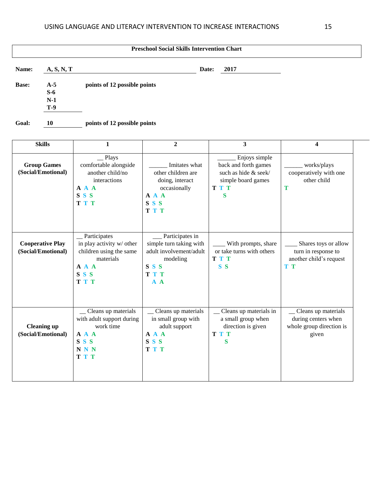| <b>Preschool Social Skills Intervention Chart</b> |            |                              |       |      |  |  |
|---------------------------------------------------|------------|------------------------------|-------|------|--|--|
| Name:                                             | A, S, N, T |                              | Date: | 2017 |  |  |
| <b>Base:</b>                                      | $A-5$      | points of 12 possible points |       |      |  |  |
|                                                   | $S-6$      |                              |       |      |  |  |
|                                                   | $N-1$      |                              |       |      |  |  |
|                                                   | <b>T-9</b> |                              |       |      |  |  |
| Goal:                                             | 10         | points of 12 possible points |       |      |  |  |

| <b>Skills</b>                                 | $\mathbf{1}$                                                                                                                | $\mathbf{2}$                                                                                                 | 3                                                                                                      | 4                                                                                |
|-----------------------------------------------|-----------------------------------------------------------------------------------------------------------------------------|--------------------------------------------------------------------------------------------------------------|--------------------------------------------------------------------------------------------------------|----------------------------------------------------------------------------------|
| <b>Group Games</b><br>(Social/Emotional)      | Plays<br>comfortable alongside<br>another child/no<br>interactions<br>A A A<br>SS <sub>S</sub><br><b>TTT</b>                | Imitates what<br>other children are<br>doing, interact<br>occasionally<br>A A A<br>SSS<br><b>TTT</b>         | Enjoys simple<br>back and forth games<br>such as hide & seek/<br>simple board games<br><b>TTT</b><br>S | works/plays<br>cooperatively with one<br>other child<br>Т                        |
| <b>Cooperative Play</b><br>(Social/Emotional) | Participates<br>in play activity w/ other<br>children using the same<br>materials<br>A A A<br>SS <sub>S</sub><br><b>TTT</b> | Participates in<br>simple turn taking with<br>adult involvement/adult<br>modeling<br>SSS<br>T T T<br>$A \ A$ | With prompts, share<br>or take turns with others<br><b>TTT</b><br>S <sub>S</sub>                       | Shares toys or allow<br>turn in response to<br>another child's request<br>T T    |
| <b>Cleaning up</b><br>(Social/Emotional)      | _Cleans up materials<br>with adult support during<br>work time<br>A A A<br>SSS<br><b>NNN</b><br>T T T                       | _ Cleans up materials<br>in small group with<br>adult support<br>A A A<br>S S S<br><b>TTT</b>                | _ Cleans up materials in<br>a small group when<br>direction is given<br><b>TTT</b><br>S                | _Cleans up materials<br>during centers when<br>whole group direction is<br>given |